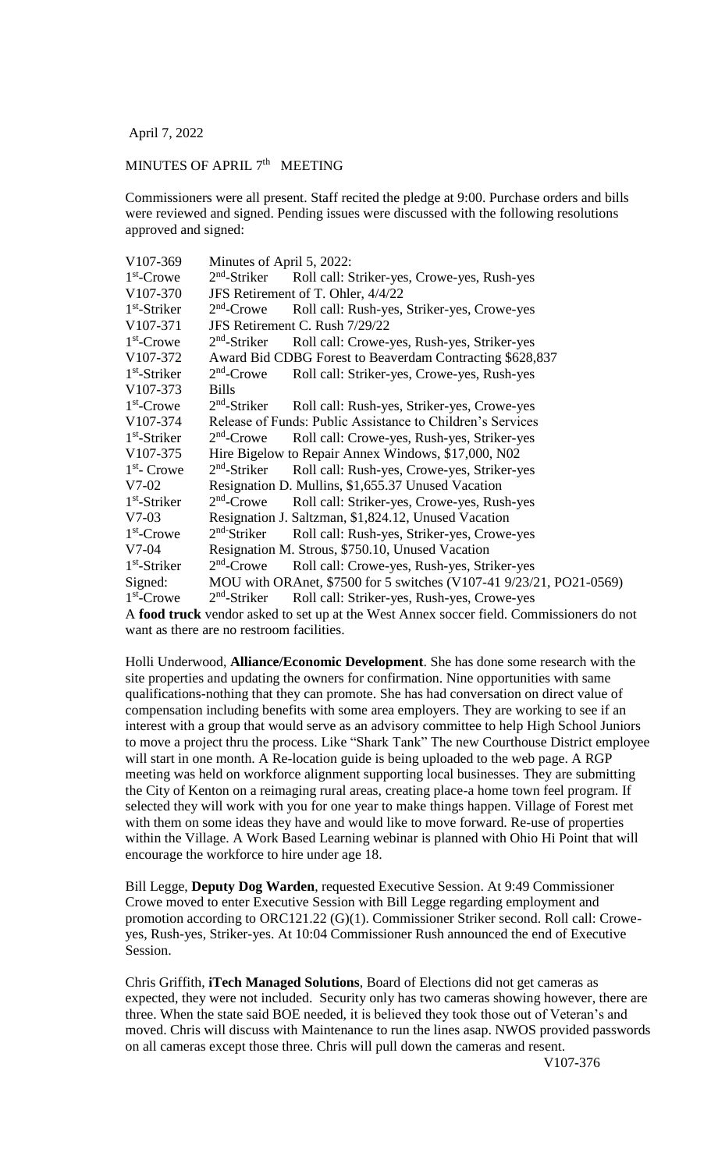April 7, 2022

## MINUTES OF APRIL 7<sup>th</sup> MEETING

Commissioners were all present. Staff recited the pledge at 9:00. Purchase orders and bills were reviewed and signed. Pending issues were discussed with the following resolutions approved and signed:

| V107-369       | Minutes of April 5, 2022:                                           |                                             |
|----------------|---------------------------------------------------------------------|---------------------------------------------|
| $1st$ -Crowe   | $2nd$ -Striker                                                      | Roll call: Striker-yes, Crowe-yes, Rush-yes |
| V107-370       | JFS Retirement of T. Ohler, 4/4/22                                  |                                             |
| $1st$ -Striker | $2nd$ -Crowe                                                        | Roll call: Rush-yes, Striker-yes, Crowe-yes |
| V107-371       | JFS Retirement C. Rush 7/29/22                                      |                                             |
| $1st$ -Crowe   | $2nd$ -Striker                                                      | Roll call: Crowe-yes, Rush-yes, Striker-yes |
| V107-372       | Award Bid CDBG Forest to Beaverdam Contracting \$628,837            |                                             |
| $1st$ -Striker | $2nd$ -Crowe                                                        | Roll call: Striker-yes, Crowe-yes, Rush-yes |
| V107-373       | <b>Bills</b>                                                        |                                             |
| $1st$ -Crowe   | $2nd$ -Striker                                                      | Roll call: Rush-yes, Striker-yes, Crowe-yes |
| V107-374       | Release of Funds: Public Assistance to Children's Services          |                                             |
| $1st$ -Striker | $2nd$ -Crowe                                                        | Roll call: Crowe-yes, Rush-yes, Striker-yes |
| V107-375       | Hire Bigelow to Repair Annex Windows, \$17,000, N02                 |                                             |
| $1st$ - Crowe  | $2nd$ -Striker                                                      | Roll call: Rush-yes, Crowe-yes, Striker-yes |
| $V7-02$        | Resignation D. Mullins, \$1,655.37 Unused Vacation                  |                                             |
| $1st$ -Striker | $2nd$ -Crowe                                                        | Roll call: Striker-yes, Crowe-yes, Rush-yes |
| $V7-03$        | Resignation J. Saltzman, \$1,824.12, Unused Vacation                |                                             |
| $1st$ -Crowe   | $2nd$ Striker                                                       | Roll call: Rush-yes, Striker-yes, Crowe-yes |
| $V7-04$        | Resignation M. Strous, \$750.10, Unused Vacation                    |                                             |
| $1st$ -Striker | $2nd$ -Crowe                                                        | Roll call: Crowe-yes, Rush-yes, Striker-yes |
| Signed:        | MOU with ORAnet, \$7500 for 5 switches (V107-41 9/23/21, PO21-0569) |                                             |
| $1st$ -Crowe   | $2nd$ -Striker                                                      | Roll call: Striker-yes, Rush-yes, Crowe-yes |

A **food truck** vendor asked to set up at the West Annex soccer field. Commissioners do not want as there are no restroom facilities.

Holli Underwood, **Alliance/Economic Development**. She has done some research with the site properties and updating the owners for confirmation. Nine opportunities with same qualifications-nothing that they can promote. She has had conversation on direct value of compensation including benefits with some area employers. They are working to see if an interest with a group that would serve as an advisory committee to help High School Juniors to move a project thru the process. Like "Shark Tank" The new Courthouse District employee will start in one month. A Re-location guide is being uploaded to the web page. A RGP meeting was held on workforce alignment supporting local businesses. They are submitting the City of Kenton on a reimaging rural areas, creating place-a home town feel program. If selected they will work with you for one year to make things happen. Village of Forest met with them on some ideas they have and would like to move forward. Re-use of properties within the Village. A Work Based Learning webinar is planned with Ohio Hi Point that will encourage the workforce to hire under age 18.

Bill Legge, **Deputy Dog Warden**, requested Executive Session. At 9:49 Commissioner Crowe moved to enter Executive Session with Bill Legge regarding employment and promotion according to ORC121.22 (G)(1). Commissioner Striker second. Roll call: Croweyes, Rush-yes, Striker-yes. At 10:04 Commissioner Rush announced the end of Executive Session.

Chris Griffith, **iTech Managed Solutions**, Board of Elections did not get cameras as expected, they were not included. Security only has two cameras showing however, there are three. When the state said BOE needed, it is believed they took those out of Veteran's and moved. Chris will discuss with Maintenance to run the lines asap. NWOS provided passwords on all cameras except those three. Chris will pull down the cameras and resent.